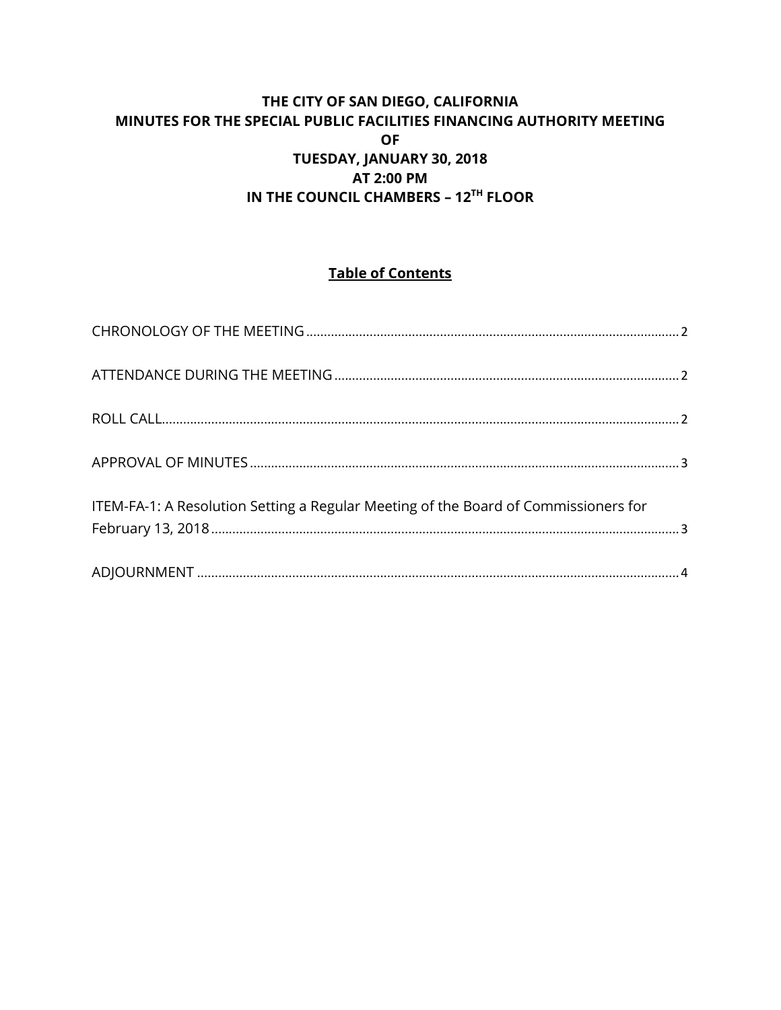### **THE CITY OF SAN DIEGO, CALIFORNIA MINUTES FOR THE SPECIAL PUBLIC FACILITIES FINANCING AUTHORITY MEETING OF TUESDAY, JANUARY 30, 2018 AT 2:00 PM IN THE COUNCIL CHAMBERS – 12TH FLOOR**

# **Table of Contents**

| ITEM-FA-1: A Resolution Setting a Regular Meeting of the Board of Commissioners for |  |
|-------------------------------------------------------------------------------------|--|
|                                                                                     |  |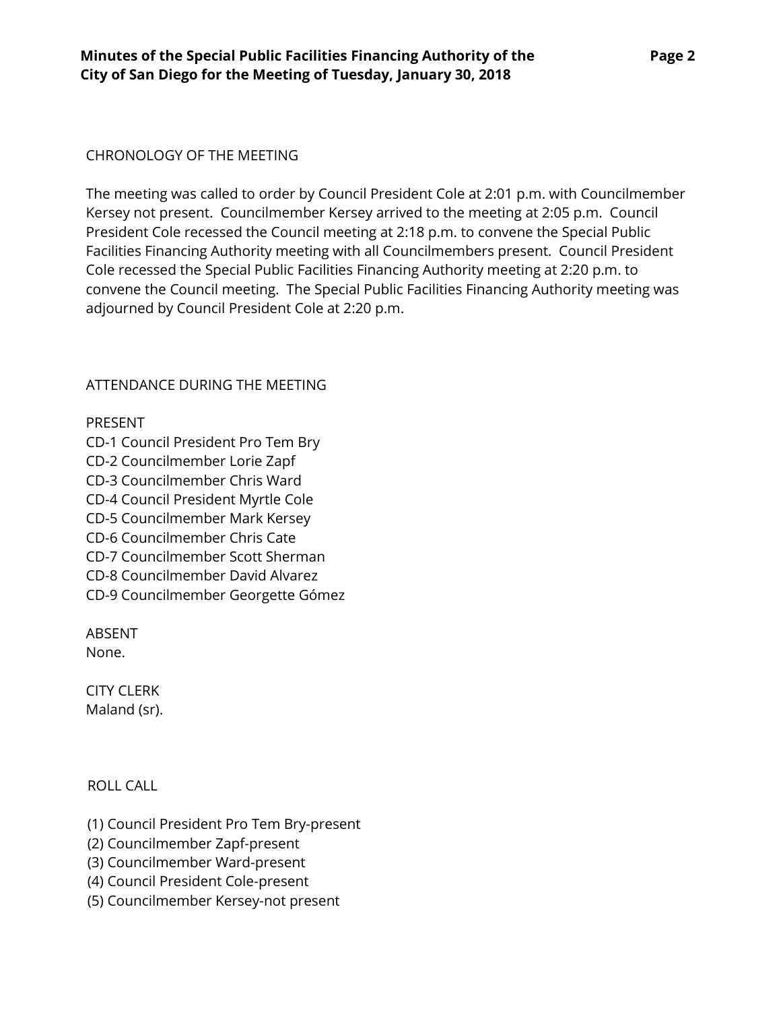### <span id="page-1-0"></span>CHRONOLOGY OF THE MEETING

The meeting was called to order by Council President Cole at 2:01 p.m. with Councilmember Kersey not present. Councilmember Kersey arrived to the meeting at 2:05 p.m. Council President Cole recessed the Council meeting at 2:18 p.m. to convene the Special Public Facilities Financing Authority meeting with all Councilmembers present. Council President Cole recessed the Special Public Facilities Financing Authority meeting at 2:20 p.m. to convene the Council meeting. The Special Public Facilities Financing Authority meeting was adjourned by Council President Cole at 2:20 p.m.

### <span id="page-1-1"></span>ATTENDANCE DURING THE MEETING

#### PRESENT

CD-1 Council President Pro Tem Bry CD-2 Councilmember Lorie Zapf CD-3 Councilmember Chris Ward CD-4 Council President Myrtle Cole CD-5 Councilmember Mark Kersey CD-6 Councilmember Chris Cate CD-7 Councilmember Scott Sherman CD-8 Councilmember David Alvarez CD-9 Councilmember Georgette Gómez

ABSENT None.

CITY CLERK Maland (sr).

<span id="page-1-2"></span>ROLL CALL

- (1) Council President Pro Tem Bry-present
- (2) Councilmember Zapf-present
- (3) Councilmember Ward-present
- (4) Council President Cole-present
- (5) Councilmember Kersey-not present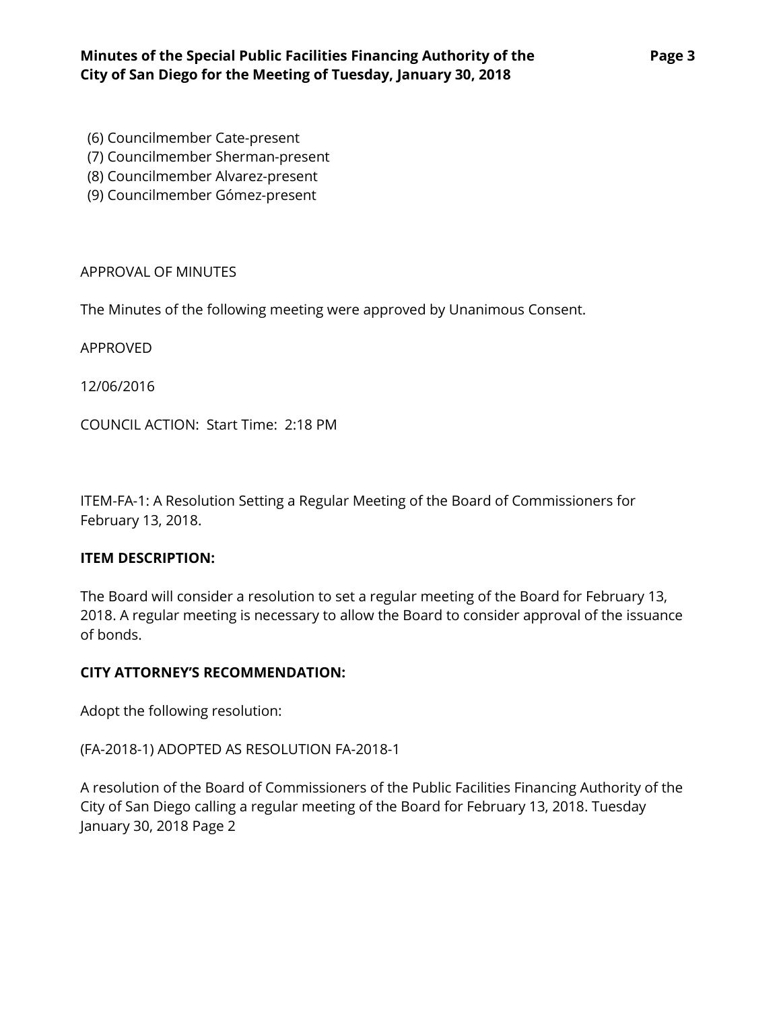- (6) Councilmember Cate-present
- (7) Councilmember Sherman-present
- (8) Councilmember Alvarez-present
- (9) Councilmember Gómez-present

### <span id="page-2-0"></span>APPROVAL OF MINUTES

The Minutes of the following meeting were approved by Unanimous Consent.

APPROVED

[12/06/2016](http://www.sandiego.gov/sites/default/files/11-14-16-special.pdf)

COUNCIL ACTION: Start Time: 2:18 PM

<span id="page-2-1"></span>ITEM-FA-1: A Resolution Setting a Regular Meeting of the Board of Commissioners for February 13, 2018.

# **ITEM DESCRIPTION:**

The Board will consider a resolution to set a regular meeting of the Board for February 13, 2018. A regular meeting is necessary to allow the Board to consider approval of the issuance of bonds.

# **CITY ATTORNEY'S RECOMMENDATION:**

Adopt the following resolution:

(FA-2018-1) ADOPTED AS RESOLUTION FA-2018-1

A resolution of the Board of Commissioners of the Public Facilities Financing Authority of the City of San Diego calling a regular meeting of the Board for February 13, 2018. Tuesday January 30, 2018 Page 2